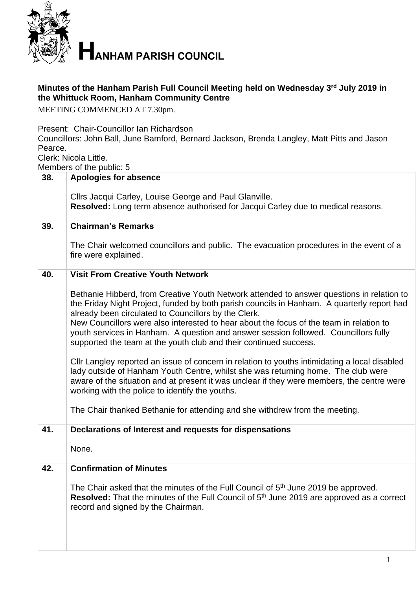

## **Minutes of the Hanham Parish Full Council Meeting held on Wednesday 3 rd July 2019 in the Whittuck Room, Hanham Community Centre**

MEETING COMMENCED AT 7.30pm.

Present: Chair-Councillor Ian Richardson

Councillors: John Ball, June Bamford, Bernard Jackson, Brenda Langley, Matt Pitts and Jason Pearce.

Clerk: Nicola Little.

Members of the public: 5

|     | ויוטווווטטוס טו נווט פוסוווט. ט                                                                                                                                                    |
|-----|------------------------------------------------------------------------------------------------------------------------------------------------------------------------------------|
| 38. | <b>Apologies for absence</b>                                                                                                                                                       |
|     | Cllrs Jacqui Carley, Louise George and Paul Glanville.                                                                                                                             |
|     | Resolved: Long term absence authorised for Jacqui Carley due to medical reasons.                                                                                                   |
| 39. | <b>Chairman's Remarks</b>                                                                                                                                                          |
|     |                                                                                                                                                                                    |
|     | The Chair welcomed councillors and public. The evacuation procedures in the event of a<br>fire were explained.                                                                     |
|     |                                                                                                                                                                                    |
| 40. | <b>Visit From Creative Youth Network</b>                                                                                                                                           |
|     | Bethanie Hibberd, from Creative Youth Network attended to answer questions in relation to                                                                                          |
|     | the Friday Night Project, funded by both parish councils in Hanham. A quarterly report had<br>already been circulated to Councillors by the Clerk.                                 |
|     | New Councillors were also interested to hear about the focus of the team in relation to                                                                                            |
|     | youth services in Hanham. A question and answer session followed. Councillors fully<br>supported the team at the youth club and their continued success.                           |
|     |                                                                                                                                                                                    |
|     | Cllr Langley reported an issue of concern in relation to youths intimidating a local disabled<br>lady outside of Hanham Youth Centre, whilst she was returning home. The club were |
|     | aware of the situation and at present it was unclear if they were members, the centre were                                                                                         |
|     | working with the police to identify the youths.                                                                                                                                    |
|     | The Chair thanked Bethanie for attending and she withdrew from the meeting.                                                                                                        |
| 41. | Declarations of Interest and requests for dispensations                                                                                                                            |
|     |                                                                                                                                                                                    |
|     | None.                                                                                                                                                                              |
| 42. | <b>Confirmation of Minutes</b>                                                                                                                                                     |
|     | The Chair asked that the minutes of the Full Council of 5 <sup>th</sup> June 2019 be approved.                                                                                     |
|     | <b>Resolved:</b> That the minutes of the Full Council of 5 <sup>th</sup> June 2019 are approved as a correct                                                                       |
|     | record and signed by the Chairman.                                                                                                                                                 |
|     |                                                                                                                                                                                    |
|     |                                                                                                                                                                                    |
|     |                                                                                                                                                                                    |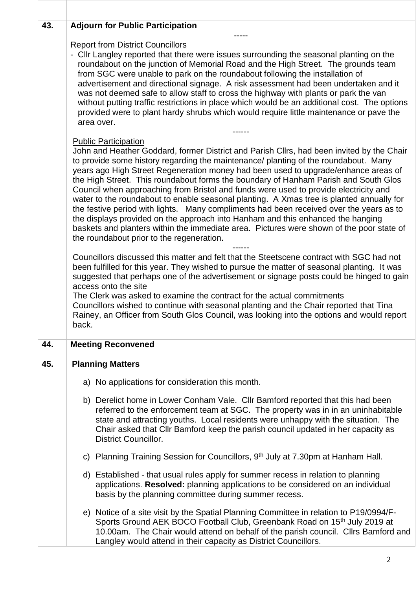| 43. | <b>Adjourn for Public Participation</b>                                                                                                                                                                                                                                                                                                                                                                                                                                                                                                                                                                                                                                                                                                                                                                                                                                                                                                                                                                                                                                                                                                                                                        |
|-----|------------------------------------------------------------------------------------------------------------------------------------------------------------------------------------------------------------------------------------------------------------------------------------------------------------------------------------------------------------------------------------------------------------------------------------------------------------------------------------------------------------------------------------------------------------------------------------------------------------------------------------------------------------------------------------------------------------------------------------------------------------------------------------------------------------------------------------------------------------------------------------------------------------------------------------------------------------------------------------------------------------------------------------------------------------------------------------------------------------------------------------------------------------------------------------------------|
|     | <b>Report from District Councillors</b><br>- Cllr Langley reported that there were issues surrounding the seasonal planting on the<br>roundabout on the junction of Memorial Road and the High Street. The grounds team<br>from SGC were unable to park on the roundabout following the installation of<br>advertisement and directional signage. A risk assessment had been undertaken and it<br>was not deemed safe to allow staff to cross the highway with plants or park the van<br>without putting traffic restrictions in place which would be an additional cost. The options<br>provided were to plant hardy shrubs which would require little maintenance or pave the<br>area over.                                                                                                                                                                                                                                                                                                                                                                                                                                                                                                  |
|     | ------                                                                                                                                                                                                                                                                                                                                                                                                                                                                                                                                                                                                                                                                                                                                                                                                                                                                                                                                                                                                                                                                                                                                                                                         |
|     | <b>Public Participation</b><br>John and Heather Goddard, former District and Parish Cllrs, had been invited by the Chair<br>to provide some history regarding the maintenance/ planting of the roundabout. Many<br>years ago High Street Regeneration money had been used to upgrade/enhance areas of<br>the High Street. This roundabout forms the boundary of Hanham Parish and South Glos<br>Council when approaching from Bristol and funds were used to provide electricity and<br>water to the roundabout to enable seasonal planting. A Xmas tree is planted annually for<br>the festive period with lights. Many compliments had been received over the years as to<br>the displays provided on the approach into Hanham and this enhanced the hanging<br>baskets and planters within the immediate area. Pictures were shown of the poor state of<br>the roundabout prior to the regeneration.<br>Councillors discussed this matter and felt that the Steetscene contract with SGC had not<br>been fulfilled for this year. They wished to pursue the matter of seasonal planting. It was<br>suggested that perhaps one of the advertisement or signage posts could be hinged to gain |
|     | access onto the site<br>The Clerk was asked to examine the contract for the actual commitments<br>Councillors wished to continue with seasonal planting and the Chair reported that Tina<br>Rainey, an Officer from South Glos Council, was looking into the options and would report<br>back.                                                                                                                                                                                                                                                                                                                                                                                                                                                                                                                                                                                                                                                                                                                                                                                                                                                                                                 |
| 44. | <b>Meeting Reconvened</b>                                                                                                                                                                                                                                                                                                                                                                                                                                                                                                                                                                                                                                                                                                                                                                                                                                                                                                                                                                                                                                                                                                                                                                      |
| 45. | <b>Planning Matters</b>                                                                                                                                                                                                                                                                                                                                                                                                                                                                                                                                                                                                                                                                                                                                                                                                                                                                                                                                                                                                                                                                                                                                                                        |
|     | a) No applications for consideration this month.                                                                                                                                                                                                                                                                                                                                                                                                                                                                                                                                                                                                                                                                                                                                                                                                                                                                                                                                                                                                                                                                                                                                               |
|     | b) Derelict home in Lower Conham Vale. Cllr Bamford reported that this had been<br>referred to the enforcement team at SGC. The property was in in an uninhabitable<br>state and attracting youths. Local residents were unhappy with the situation. The<br>Chair asked that Cllr Bamford keep the parish council updated in her capacity as<br><b>District Councillor.</b>                                                                                                                                                                                                                                                                                                                                                                                                                                                                                                                                                                                                                                                                                                                                                                                                                    |
|     | c) Planning Training Session for Councillors, 9 <sup>th</sup> July at 7.30pm at Hanham Hall.                                                                                                                                                                                                                                                                                                                                                                                                                                                                                                                                                                                                                                                                                                                                                                                                                                                                                                                                                                                                                                                                                                   |
|     | d) Established - that usual rules apply for summer recess in relation to planning<br>applications. Resolved: planning applications to be considered on an individual<br>basis by the planning committee during summer recess.                                                                                                                                                                                                                                                                                                                                                                                                                                                                                                                                                                                                                                                                                                                                                                                                                                                                                                                                                                  |
|     | e) Notice of a site visit by the Spatial Planning Committee in relation to P19/0994/F-<br>Sports Ground AEK BOCO Football Club, Greenbank Road on 15th July 2019 at<br>10.00am. The Chair would attend on behalf of the parish council. Cllrs Bamford and<br>Langley would attend in their capacity as District Councillors.                                                                                                                                                                                                                                                                                                                                                                                                                                                                                                                                                                                                                                                                                                                                                                                                                                                                   |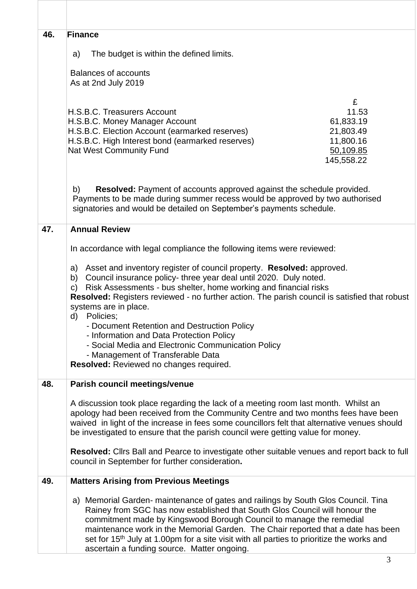| 46. | <b>Finance</b>                                                                                                                                                                                                                                                                                                                                                                                                                                                                                                                                                                                              |
|-----|-------------------------------------------------------------------------------------------------------------------------------------------------------------------------------------------------------------------------------------------------------------------------------------------------------------------------------------------------------------------------------------------------------------------------------------------------------------------------------------------------------------------------------------------------------------------------------------------------------------|
|     | The budget is within the defined limits.<br>a)                                                                                                                                                                                                                                                                                                                                                                                                                                                                                                                                                              |
|     | <b>Balances of accounts</b>                                                                                                                                                                                                                                                                                                                                                                                                                                                                                                                                                                                 |
|     | As at 2nd July 2019                                                                                                                                                                                                                                                                                                                                                                                                                                                                                                                                                                                         |
|     | £<br>11.53<br>H.S.B.C. Treasurers Account<br>61,833.19<br>H.S.B.C. Money Manager Account<br>H.S.B.C. Election Account (earmarked reserves)<br>21,803.49<br>H.S.B.C. High Interest bond (earmarked reserves)<br>11,800.16<br><b>Nat West Community Fund</b><br>50,109.85<br>145,558.22                                                                                                                                                                                                                                                                                                                       |
|     | <b>Resolved:</b> Payment of accounts approved against the schedule provided.<br>b)<br>Payments to be made during summer recess would be approved by two authorised<br>signatories and would be detailed on September's payments schedule.                                                                                                                                                                                                                                                                                                                                                                   |
| 47. | <b>Annual Review</b>                                                                                                                                                                                                                                                                                                                                                                                                                                                                                                                                                                                        |
|     | In accordance with legal compliance the following items were reviewed:                                                                                                                                                                                                                                                                                                                                                                                                                                                                                                                                      |
|     | a) Asset and inventory register of council property. Resolved: approved.<br>Council insurance policy- three year deal until 2020. Duly noted.<br>b)<br>Risk Assessments - bus shelter, home working and financial risks<br>C)<br>Resolved: Registers reviewed - no further action. The parish council is satisfied that robust<br>systems are in place.<br>Policies;<br>d)<br>- Document Retention and Destruction Policy<br>- Information and Data Protection Policy<br>- Social Media and Electronic Communication Policy<br>- Management of Transferable Data<br>Resolved: Reviewed no changes required. |
| 48. | Parish council meetings/venue                                                                                                                                                                                                                                                                                                                                                                                                                                                                                                                                                                               |
|     | A discussion took place regarding the lack of a meeting room last month. Whilst an<br>apology had been received from the Community Centre and two months fees have been<br>waived in light of the increase in fees some councillors felt that alternative venues should<br>be investigated to ensure that the parish council were getting value for money.                                                                                                                                                                                                                                                  |
|     | Resolved: Clirs Ball and Pearce to investigate other suitable venues and report back to full<br>council in September for further consideration.                                                                                                                                                                                                                                                                                                                                                                                                                                                             |
| 49. | <b>Matters Arising from Previous Meetings</b>                                                                                                                                                                                                                                                                                                                                                                                                                                                                                                                                                               |
|     | a) Memorial Garden- maintenance of gates and railings by South Glos Council. Tina<br>Rainey from SGC has now established that South Glos Council will honour the<br>commitment made by Kingswood Borough Council to manage the remedial<br>maintenance work in the Memorial Garden. The Chair reported that a date has been<br>set for 15 <sup>th</sup> July at 1.00pm for a site visit with all parties to prioritize the works and<br>ascertain a funding source. Matter ongoing.                                                                                                                         |